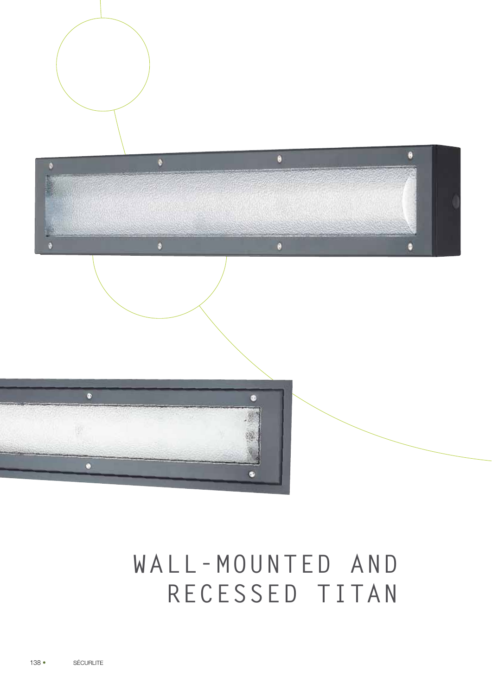



# **WALL-MOUNTED AND RECESSED TITAN**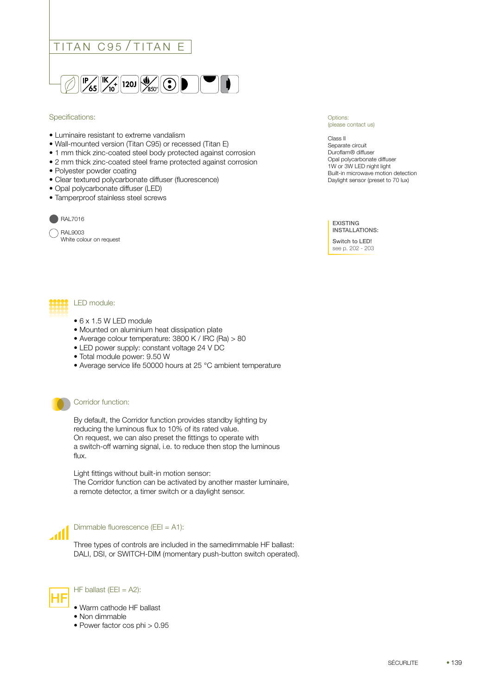

#### Specifications:

- Luminaire resistant to extreme vandalism
- Wall-mounted version (Titan C95) or recessed (Titan E)
- 1 mm thick zinc-coated steel body protected against corrosion
- 2 mm thick zinc-coated steel frame protected against corrosion
- Polyester powder coating
- Clear textured polycarbonate diffuser (fluorescence)
- Opal polycarbonate diffuser (LED)
- Tamperproof stainless steel screws



RAL9003 White colour on request

#### Options: (please contact us)

Class II Separate circuit Duroflam® diffuser Opal polycarbonate diffuser 1W or 3W LED night light Built-in microwave motion detection Daylight sensor (preset to 70 lux)

EXISTING INSTALLATIONS:

Switch to LED! see p. 202 - 203



- 6 x 1.5 W LED module
- Mounted on aluminium heat dissipation plate
- Average colour temperature: 3800 K / IRC (Ra) > 80
- LED power supply: constant voltage 24 V DC
- Total module power: 9.50 W
- Average service life 50000 hours at 25 °C ambient temperature



#### Corridor function:

By default, the Corridor function provides standby lighting by reducing the luminous flux to 10% of its rated value. On request, we can also preset the fittings to operate with a switch-off warning signal, i.e. to reduce then stop the luminous flux.

Light fittings without built-in motion sensor: The Corridor function can be activated by another master luminaire, a remote detector, a timer switch or a daylight sensor.



Dimmable fluorescence (EEI = A1):

Three types of controls are included in the samedimmable HF ballast: DALI, DSI, or SWITCH-DIM (momentary push-button switch operated).



 $\begin{bmatrix} \begin{bmatrix} \mathbf{H} \end{bmatrix} \end{bmatrix}$  HF ballast (EEI = A2):

- Warm cathode HF ballast
- Non dimmable
- Power factor cos phi > 0.95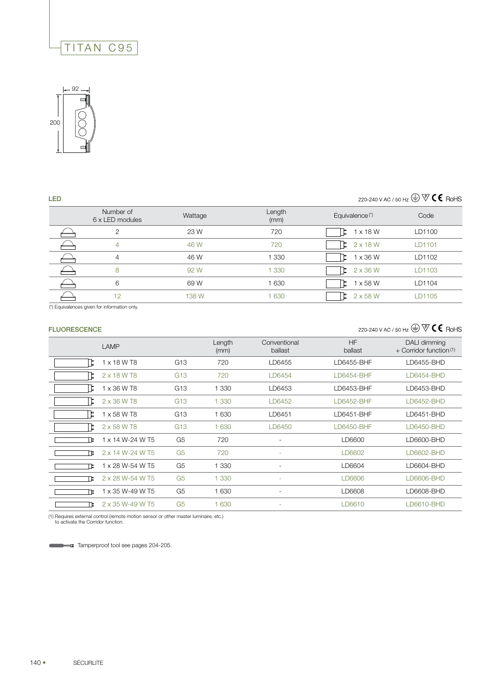# TITAN C95



# 220-240 V AC / 50 Hz  $\textcircled{\tiny\#}$   $\mathbb{\mathbb{V}}$  **C E** RoHS

| <b>LED</b> |                              |         |                |                            | 220-240 V AC / 50 Hz $\textcircled{\tiny\#}$ $\textcircled{\tiny\#}$ $\textcircled{\tiny\#}$ C $\textcircled{\tiny\#}$ RoHS |
|------------|------------------------------|---------|----------------|----------------------------|-----------------------------------------------------------------------------------------------------------------------------|
|            | Number of<br>6 x LED modules | Wattage | Length<br>(mm) | Equivalence <sup>(*)</sup> | Code                                                                                                                        |
|            | $\overline{2}$               | 23 W    | 720            | $1 \times 18$ W            | LD1100                                                                                                                      |
|            | 4                            | 46 W    | 720            | $2 \times 18$ W            | LD1101                                                                                                                      |
|            | $\overline{4}$               | 46 W    | 1 3 3 0        | $1 \times 36$ W            | LD1102                                                                                                                      |
|            | 8                            | 92 W    | 1 3 3 0        | $2 \times 36$ W<br>Þ       | LD1103                                                                                                                      |
|            | 6                            | 69 W    | 1 6 3 0        | $1 \times 58$ W            | LD1104                                                                                                                      |
|            | 12                           | 138 W   | 1 630          | $2 \times 58$ W            | <b>D1105</b>                                                                                                                |

(\*) Equivalences given for information only.

## FLUORESCENCE

## 220-240 V AC / 50 Hz  $\bigoplus \overline{\nabla} \textbf{C} \textbf{C}$  RoHS

|    | LAMP             |                 | Length<br>(mm) | Conventional<br>ballast  | <b>HF</b><br>ballast | DALI dimming<br>$+$ Corridor function <sup>(1)</sup> |
|----|------------------|-----------------|----------------|--------------------------|----------------------|------------------------------------------------------|
|    | 1 x 18 W T8      | G13             | 720            | LD6455                   | LD6455-BHF           | LD6455-BHD                                           |
|    | 2 x 18 W T8      | G <sub>13</sub> | 720            | LD6454                   | LD6454-BHF           | LD6454-BHD                                           |
|    | 1 x 36 W T8      | G13             | 1 3 3 0        | LD6453                   | LD6453-BHF           | LD6453-BHD                                           |
|    | 2 x 36 W T8      | G <sub>13</sub> | 1 3 3 0        | LD6452                   | LD6452-BHF           | LD6452-BHD                                           |
|    | 1 x 58 W T8      | G <sub>13</sub> | 1 6 3 0        | LD6451                   | LD6451-BHF           | LD6451-BHD                                           |
|    | 2 x 58 W T8      | G <sub>13</sub> | 1 6 3 0        | LD6450                   | LD6450-BHF           | LD6450-BHD                                           |
| ΤE | 1 x 14 W-24 W T5 | G <sub>5</sub>  | 720            | ۰                        | LD6600               | LD6600-BHD                                           |
| Γε | 2 x 14 W-24 W T5 | G <sub>5</sub>  | 720            | ÷,                       | LD6602               | LD6602-BHD                                           |
| ГE | 1 x 28 W-54 W T5 | G <sub>5</sub>  | 1 3 3 0        | $\overline{\phantom{0}}$ | LD6604               | LD6604-BHD                                           |
| ΓΕ | 2 x 28 W-54 W T5 | G <sub>5</sub>  | 1 3 3 0        | ۰                        | LD6606               | LD6606-BHD                                           |
| π  | 1 x 35 W-49 W T5 | G <sub>5</sub>  | 1 630          | ÷                        | LD6608               | LD6608-BHD                                           |
|    | 2 x 35 W-49 W T5 | G <sub>5</sub>  | 1 6 3 0        | ٠                        | LD6610               | LD6610-BHD                                           |

(1) Requires external control (remote motion sensor or other master luminaire, etc.) to activate the Corridor function.

**Tamperproof tool see pages 204-205.**